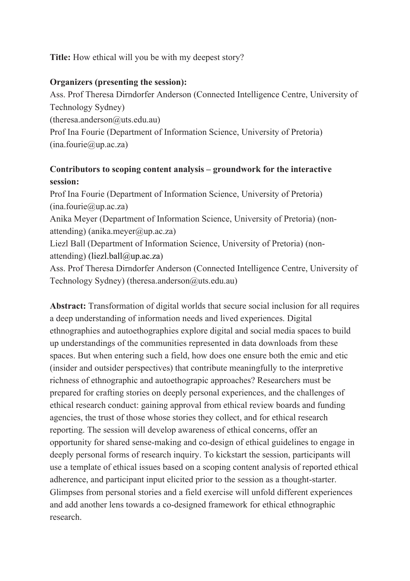**Title:** How ethical will you be with my deepest story?

## **Organizers (presenting the session):**

Ass. Prof Theresa Dirndorfer Anderson (Connected Intelligence Centre, University of Technology Sydney)

 $(therea. anderson@uts.edu.au)$ 

Prof Ina Fourie (Department of Information Science, University of Pretoria)  $(ina.fourie@up.ac.za)$ 

## **Contributors to scoping content analysis – groundwork for the interactive session:**

Prof Ina Fourie (Department of Information Science, University of Pretoria)  $(ina.fourie@up.ac.za)$ Anika Meyer (Department of Information Science, University of Pretoria) (nonattending) (anika.meyer@up.ac.za) Liezl Ball (Department of Information Science, University of Pretoria) (nonattending) (liezl.ball@up.ac.za)

Ass. Prof Theresa Dirndorfer Anderson (Connected Intelligence Centre, University of Technology Sydney) (theresa.anderson@uts.edu.au)

**Abstract:** Transformation of digital worlds that secure social inclusion for all requires a deep understanding of information needs and lived experiences. Digital ethnographies and autoethographies explore digital and social media spaces to build up understandings of the communities represented in data downloads from these spaces. But when entering such a field, how does one ensure both the emic and etic (insider and outsider perspectives) that contribute meaningfully to the interpretive richness of ethnographic and autoethograpic approaches? Researchers must be prepared for crafting stories on deeply personal experiences, and the challenges of ethical research conduct: gaining approval from ethical review boards and funding agencies, the trust of those whose stories they collect, and for ethical research reporting. The session will develop awareness of ethical concerns, offer an opportunity for shared sense-making and co-design of ethical guidelines to engage in deeply personal forms of research inquiry. To kickstart the session, participants will use a template of ethical issues based on a scoping content analysis of reported ethical adherence, and participant input elicited prior to the session as a thought-starter. Glimpses from personal stories and a field exercise will unfold different experiences and add another lens towards a co-designed framework for ethical ethnographic research.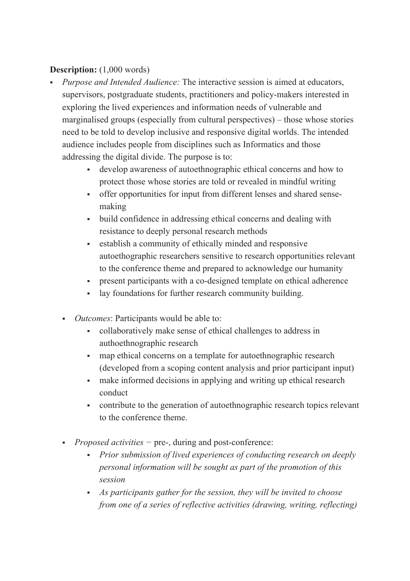## **Description:** (1,000 words)

- § *Purpose and Intended Audience:* The interactive session is aimed at educators, supervisors, postgraduate students, practitioners and policy-makers interested in exploring the lived experiences and information needs of vulnerable and marginalised groups (especially from cultural perspectives) – those whose stories need to be told to develop inclusive and responsive digital worlds. The intended audience includes people from disciplines such as Informatics and those addressing the digital divide. The purpose is to:
	- § develop awareness of autoethnographic ethical concerns and how to protect those whose stories are told or revealed in mindful writing
	- offer opportunities for input from different lenses and shared sensemaking
	- build confidence in addressing ethical concerns and dealing with resistance to deeply personal research methods
	- § establish a community of ethically minded and responsive autoethographic researchers sensitive to research opportunities relevant to the conference theme and prepared to acknowledge our humanity
	- present participants with a co-designed template on ethical adherence
	- lay foundations for further research community building.
	- *Outcomes*: Participants would be able to:
		- collaboratively make sense of ethical challenges to address in authoethnographic research
		- map ethical concerns on a template for autoethnographic research (developed from a scoping content analysis and prior participant input)
		- make informed decisions in applying and writing up ethical research conduct
		- contribute to the generation of autoethnographic research topics relevant to the conference theme.
	- § *Proposed activities −* pre-, during and post-conference:
		- § *Prior submission of lived experiences of conducting research on deeply personal information will be sought as part of the promotion of this session*
		- § *As participants gather for the session, they will be invited to choose from one of a series of reflective activities (drawing, writing, reflecting)*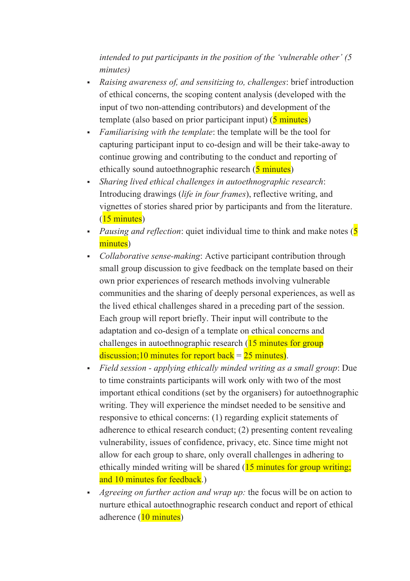*intended to put participants in the position of the 'vulnerable other' (5 minutes)*

- § *Raising awareness of, and sensitizing to, challenges*: brief introduction of ethical concerns, the scoping content analysis (developed with the input of two non-attending contributors) and development of the template (also based on prior participant input) (5 minutes)
- § *Familiarising with the template*: the template will be the tool for capturing participant input to co-design and will be their take-away to continue growing and contributing to the conduct and reporting of ethically sound autoethnographic research (5 minutes)
- § *Sharing lived ethical challenges in autoethnographic research*: Introducing drawings (*life in four frames*), reflective writing, and vignettes of stories shared prior by participants and from the literature. (15 minutes)
- *Pausing and reflection*: quiet individual time to think and make notes (5 minutes)
- § *Collaborative sense-making*: Active participant contribution through small group discussion to give feedback on the template based on their own prior experiences of research methods involving vulnerable communities and the sharing of deeply personal experiences, as well as the lived ethical challenges shared in a preceding part of the session. Each group will report briefly. Their input will contribute to the adaptation and co-design of a template on ethical concerns and challenges in autoethnographic research (15 minutes for group discussion;10 minutes for report back  $= 25$  minutes).
- § *Field session - applying ethically minded writing as a small group*: Due to time constraints participants will work only with two of the most important ethical conditions (set by the organisers) for autoethnographic writing. They will experience the mindset needed to be sensitive and responsive to ethical concerns: (1) regarding explicit statements of adherence to ethical research conduct; (2) presenting content revealing vulnerability, issues of confidence, privacy, etc. Since time might not allow for each group to share, only overall challenges in adhering to ethically minded writing will be shared (15 minutes for group writing; and 10 minutes for feedback.)
- § *Agreeing on further action and wrap up:* the focus will be on action to nurture ethical autoethnographic research conduct and report of ethical adherence (10 minutes)